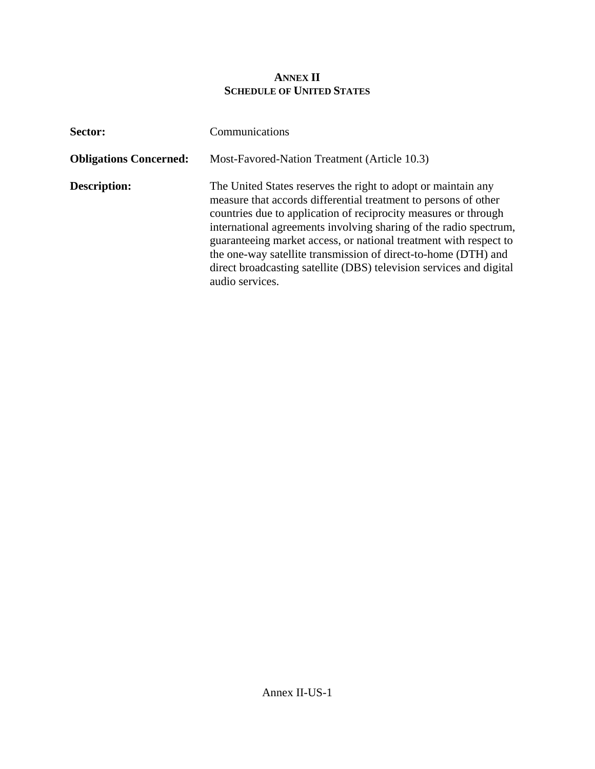## **ANNEX II SCHEDULE OF UNITED STATES**

| Sector:                       | Communications                                                                                                                                                                                                                                                                                                                                                                                                                                                                                            |
|-------------------------------|-----------------------------------------------------------------------------------------------------------------------------------------------------------------------------------------------------------------------------------------------------------------------------------------------------------------------------------------------------------------------------------------------------------------------------------------------------------------------------------------------------------|
| <b>Obligations Concerned:</b> | Most-Favored-Nation Treatment (Article 10.3)                                                                                                                                                                                                                                                                                                                                                                                                                                                              |
| <b>Description:</b>           | The United States reserves the right to adopt or maintain any<br>measure that accords differential treatment to persons of other<br>countries due to application of reciprocity measures or through<br>international agreements involving sharing of the radio spectrum,<br>guaranteeing market access, or national treatment with respect to<br>the one-way satellite transmission of direct-to-home (DTH) and<br>direct broadcasting satellite (DBS) television services and digital<br>audio services. |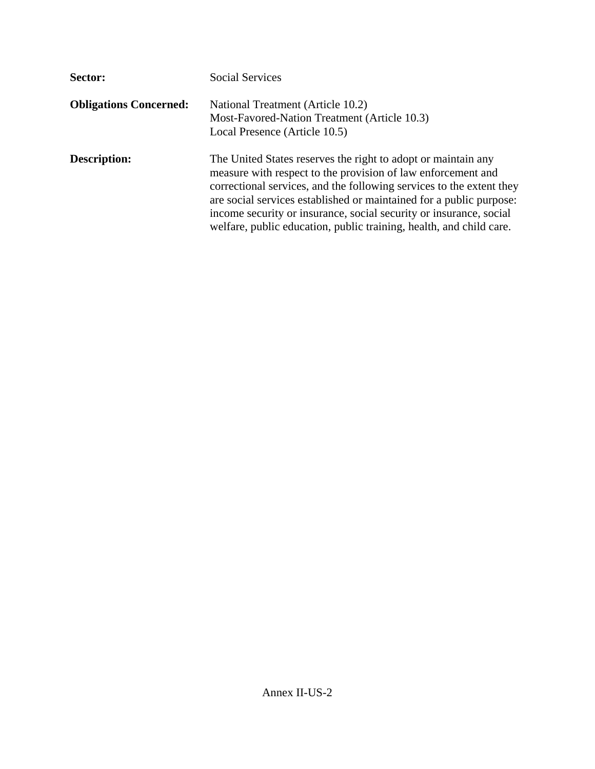| Sector:                       | <b>Social Services</b>                                                                                                                                                                                                                                                                                                                                                                                                    |
|-------------------------------|---------------------------------------------------------------------------------------------------------------------------------------------------------------------------------------------------------------------------------------------------------------------------------------------------------------------------------------------------------------------------------------------------------------------------|
| <b>Obligations Concerned:</b> | National Treatment (Article 10.2)<br>Most-Favored-Nation Treatment (Article 10.3)<br>Local Presence (Article 10.5)                                                                                                                                                                                                                                                                                                        |
| Description:                  | The United States reserves the right to adopt or maintain any<br>measure with respect to the provision of law enforcement and<br>correctional services, and the following services to the extent they<br>are social services established or maintained for a public purpose:<br>income security or insurance, social security or insurance, social<br>welfare, public education, public training, health, and child care. |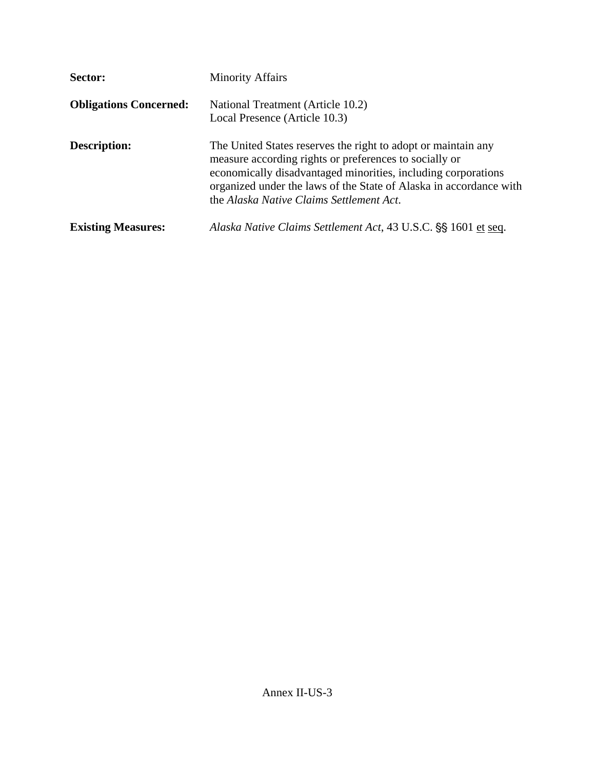| Sector:                       | <b>Minority Affairs</b>                                                                                                                                                                                                                                                                                    |  |  |
|-------------------------------|------------------------------------------------------------------------------------------------------------------------------------------------------------------------------------------------------------------------------------------------------------------------------------------------------------|--|--|
| <b>Obligations Concerned:</b> | National Treatment (Article 10.2)<br>Local Presence (Article 10.3)                                                                                                                                                                                                                                         |  |  |
| <b>Description:</b>           | The United States reserves the right to adopt or maintain any<br>measure according rights or preferences to socially or<br>economically disadvantaged minorities, including corporations<br>organized under the laws of the State of Alaska in accordance with<br>the Alaska Native Claims Settlement Act. |  |  |
| <b>Existing Measures:</b>     | Alaska Native Claims Settlement Act, 43 U.S.C. §§ 1601 et seq.                                                                                                                                                                                                                                             |  |  |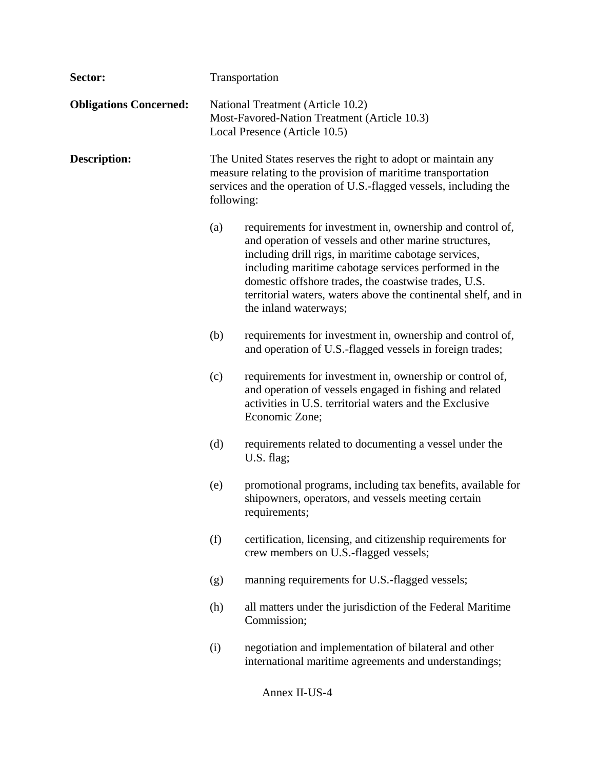| Sector:                       | Transportation                                                                                                                                                                                                   |                                                                                                                                                                                                                                                                                                                                                                                        |
|-------------------------------|------------------------------------------------------------------------------------------------------------------------------------------------------------------------------------------------------------------|----------------------------------------------------------------------------------------------------------------------------------------------------------------------------------------------------------------------------------------------------------------------------------------------------------------------------------------------------------------------------------------|
| <b>Obligations Concerned:</b> | National Treatment (Article 10.2)<br>Most-Favored-Nation Treatment (Article 10.3)<br>Local Presence (Article 10.5)                                                                                               |                                                                                                                                                                                                                                                                                                                                                                                        |
| <b>Description:</b>           | The United States reserves the right to adopt or maintain any<br>measure relating to the provision of maritime transportation<br>services and the operation of U.S.-flagged vessels, including the<br>following: |                                                                                                                                                                                                                                                                                                                                                                                        |
|                               | (a)                                                                                                                                                                                                              | requirements for investment in, ownership and control of,<br>and operation of vessels and other marine structures,<br>including drill rigs, in maritime cabotage services,<br>including maritime cabotage services performed in the<br>domestic offshore trades, the coastwise trades, U.S.<br>territorial waters, waters above the continental shelf, and in<br>the inland waterways; |
|                               | (b)                                                                                                                                                                                                              | requirements for investment in, ownership and control of,<br>and operation of U.S.-flagged vessels in foreign trades;                                                                                                                                                                                                                                                                  |
|                               | (c)                                                                                                                                                                                                              | requirements for investment in, ownership or control of,<br>and operation of vessels engaged in fishing and related<br>activities in U.S. territorial waters and the Exclusive<br>Economic Zone;                                                                                                                                                                                       |
|                               | (d)                                                                                                                                                                                                              | requirements related to documenting a vessel under the<br>U.S. flag;                                                                                                                                                                                                                                                                                                                   |
|                               | (e)                                                                                                                                                                                                              | promotional programs, including tax benefits, available for<br>shipowners, operators, and vessels meeting certain<br>requirements;                                                                                                                                                                                                                                                     |
|                               | (f)                                                                                                                                                                                                              | certification, licensing, and citizenship requirements for<br>crew members on U.S.-flagged vessels;                                                                                                                                                                                                                                                                                    |
|                               | (g)                                                                                                                                                                                                              | manning requirements for U.S.-flagged vessels;                                                                                                                                                                                                                                                                                                                                         |
|                               | (h)                                                                                                                                                                                                              | all matters under the jurisdiction of the Federal Maritime<br>Commission;                                                                                                                                                                                                                                                                                                              |
|                               | (i)                                                                                                                                                                                                              | negotiation and implementation of bilateral and other<br>international maritime agreements and understandings;                                                                                                                                                                                                                                                                         |
|                               |                                                                                                                                                                                                                  | Annex II-US-4                                                                                                                                                                                                                                                                                                                                                                          |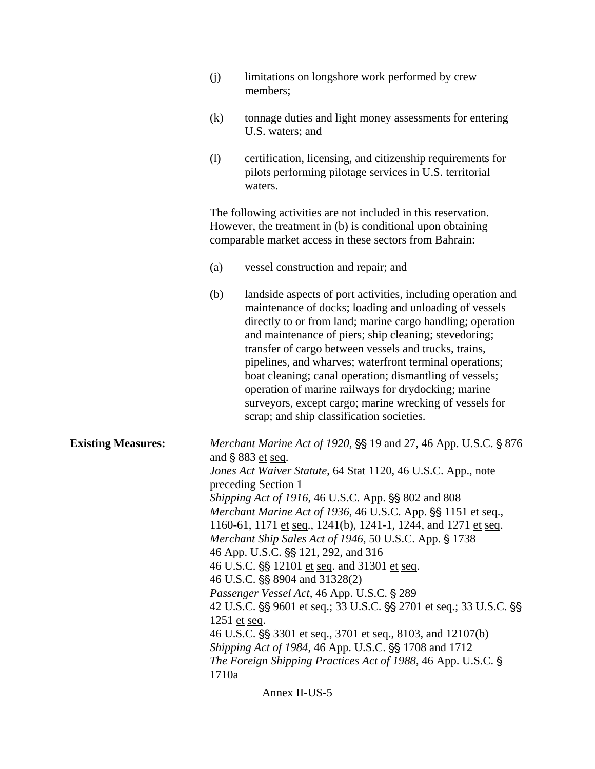|                           | limitations on longshore work performed by crew<br>(j)<br>members;                                                                                                                                                                                                                                                                                                                                                                                                                                                                                                                                                                                                                                                                                                                                                                                                                              |  |
|---------------------------|-------------------------------------------------------------------------------------------------------------------------------------------------------------------------------------------------------------------------------------------------------------------------------------------------------------------------------------------------------------------------------------------------------------------------------------------------------------------------------------------------------------------------------------------------------------------------------------------------------------------------------------------------------------------------------------------------------------------------------------------------------------------------------------------------------------------------------------------------------------------------------------------------|--|
|                           | (k)<br>tonnage duties and light money assessments for entering<br>U.S. waters; and                                                                                                                                                                                                                                                                                                                                                                                                                                                                                                                                                                                                                                                                                                                                                                                                              |  |
|                           | (1)<br>certification, licensing, and citizenship requirements for<br>pilots performing pilotage services in U.S. territorial<br>waters.                                                                                                                                                                                                                                                                                                                                                                                                                                                                                                                                                                                                                                                                                                                                                         |  |
|                           | The following activities are not included in this reservation.<br>However, the treatment in (b) is conditional upon obtaining<br>comparable market access in these sectors from Bahrain:                                                                                                                                                                                                                                                                                                                                                                                                                                                                                                                                                                                                                                                                                                        |  |
|                           | (a)<br>vessel construction and repair; and                                                                                                                                                                                                                                                                                                                                                                                                                                                                                                                                                                                                                                                                                                                                                                                                                                                      |  |
|                           | (b)<br>landside aspects of port activities, including operation and<br>maintenance of docks; loading and unloading of vessels<br>directly to or from land; marine cargo handling; operation<br>and maintenance of piers; ship cleaning; stevedoring;<br>transfer of cargo between vessels and trucks, trains,<br>pipelines, and wharves; waterfront terminal operations;<br>boat cleaning; canal operation; dismantling of vessels;<br>operation of marine railways for drydocking; marine<br>surveyors, except cargo; marine wrecking of vessels for<br>scrap; and ship classification societies.                                                                                                                                                                                                                                                                                              |  |
| <b>Existing Measures:</b> | Merchant Marine Act of 1920, §§ 19 and 27, 46 App. U.S.C. § 876<br>and $\S 883$ et seq.<br>Jones Act Waiver Statute, 64 Stat 1120, 46 U.S.C. App., note<br>preceding Section 1<br>Shipping Act of 1916, 46 U.S.C. App. §§ 802 and 808<br>Merchant Marine Act of 1936, 46 U.S.C. App. §§ 1151 et seq.,<br>1160-61, 1171 et seq., 1241(b), 1241-1, 1244, and 1271 et seq.<br>Merchant Ship Sales Act of 1946, 50 U.S.C. App. § 1738<br>46 App. U.S.C. §§ 121, 292, and 316<br>46 U.S.C. §§ 12101 et seq. and 31301 et seq.<br>46 U.S.C. §§ 8904 and 31328(2)<br>Passenger Vessel Act, 46 App. U.S.C. § 289<br>42 U.S.C. §§ 9601 et seq.; 33 U.S.C. §§ 2701 et seq.; 33 U.S.C. §§<br>1251 et seq.<br>46 U.S.C. §§ 3301 et seq., 3701 et seq., 8103, and 12107(b)<br>Shipping Act of 1984, 46 App. U.S.C. §§ 1708 and 1712<br>The Foreign Shipping Practices Act of 1988, 46 App. U.S.C. §<br>1710a |  |

Annex II-US-5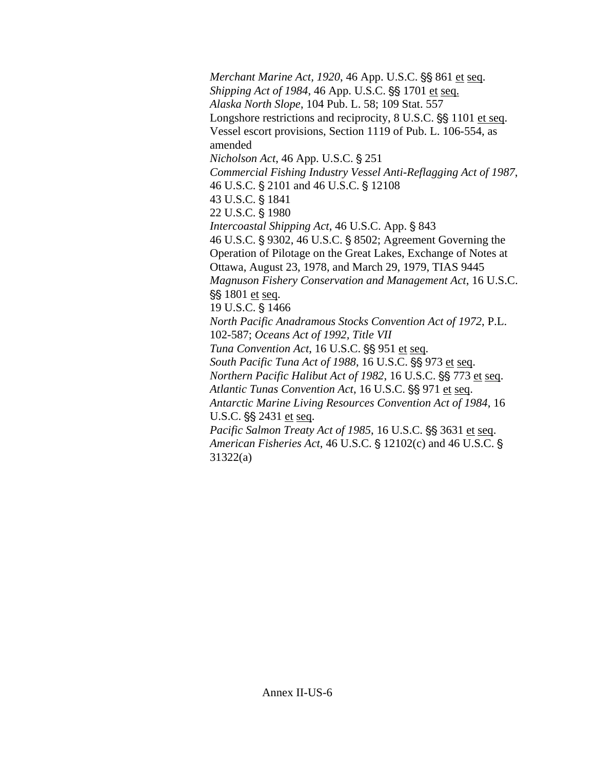*Merchant Marine Act, 1920, 46 App. U.S.C.*  $\S$ *S 861 et seq. Shipping Act of 1984, 46 App. U.S.C.* §§ 1701 et seq.  *Alaska North Slope*, 104 Pub. L. 58; 109 Stat. 557 Longshore restrictions and reciprocity, 8 U.S.C.  $\S$  1101 et seq. Vessel escort provisions, Section 1119 of Pub. L. 106-554, as amended *Nicholson Act*, 46 App. U.S.C. § 251  *Commercial Fishing Industry Vessel Anti-Reflagging Act of 1987*, 46 U.S.C. § 2101 and 46 U.S.C. § 12108 43 U.S.C. § 1841 22 U.S.C. § 1980 *Intercoastal Shipping Act*, 46 U.S.C. App. § 843 46 U.S.C. § 9302, 46 U.S.C. § 8502; Agreement Governing the Operation of Pilotage on the Great Lakes, Exchange of Notes at Ottawa, August 23, 1978, and March 29, 1979, TIAS 9445  *Magnuson Fishery Conservation and Management Act*, 16 U.S.C. SS 1801 et seq. 19 U.S.C. § 1466  *North Pacific Anadramous Stocks Convention Act of 1972*, P.L. 102-587; *Oceans Act of 1992, Title VII Tuna Convention Act*, 16 U.S.C. SS 951 et seq. *South Pacific Tuna Act of 1988*, 16 U.S.C.  $\S$ § 973 et seq. *Northern Pacific Halibut Act of 1982, 16 U.S.C. SS 773 et seq. Atlantic Tunas Convention Act*, 16 U.S.C.  $\S$ § 971 et seq.  *Antarctic Marine Living Resources Convention Act of 1984*, 16 U.S.C. §§ 2431 et seq. *Pacific Salmon Treaty Act of 1985*, 16 U.S.C. SS 3631 et seq. *American Fisheries Act*, 46 U.S.C. § 12102(c) and 46 U.S.C. § 31322(a)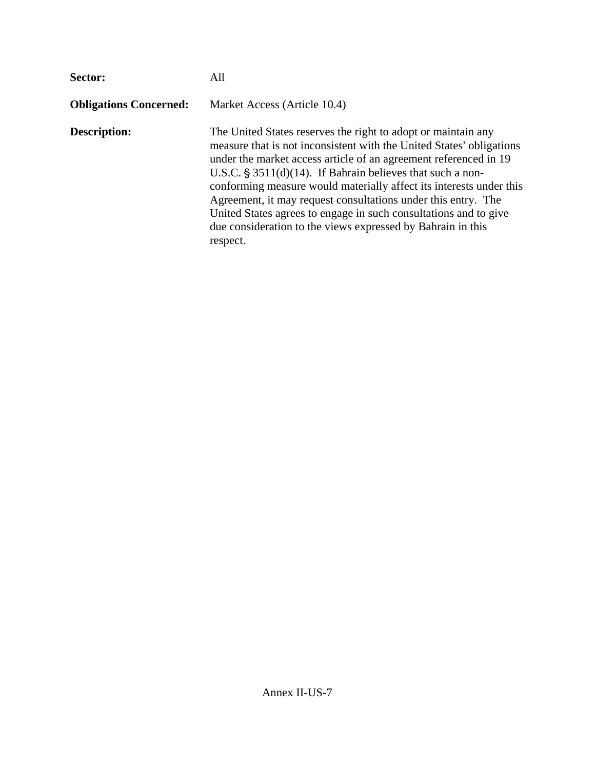| Sector:                       | All                                                                                                                                                                                                                                                                                                                                                                                                                                                                                                                                                               |  |  |
|-------------------------------|-------------------------------------------------------------------------------------------------------------------------------------------------------------------------------------------------------------------------------------------------------------------------------------------------------------------------------------------------------------------------------------------------------------------------------------------------------------------------------------------------------------------------------------------------------------------|--|--|
| <b>Obligations Concerned:</b> | Market Access (Article 10.4)                                                                                                                                                                                                                                                                                                                                                                                                                                                                                                                                      |  |  |
| <b>Description:</b>           | The United States reserves the right to adopt or maintain any<br>measure that is not inconsistent with the United States' obligations<br>under the market access article of an agreement referenced in 19<br>U.S.C. $\S$ 3511(d)(14). If Bahrain believes that such a non-<br>conforming measure would materially affect its interests under this<br>Agreement, it may request consultations under this entry. The<br>United States agrees to engage in such consultations and to give<br>due consideration to the views expressed by Bahrain in this<br>respect. |  |  |